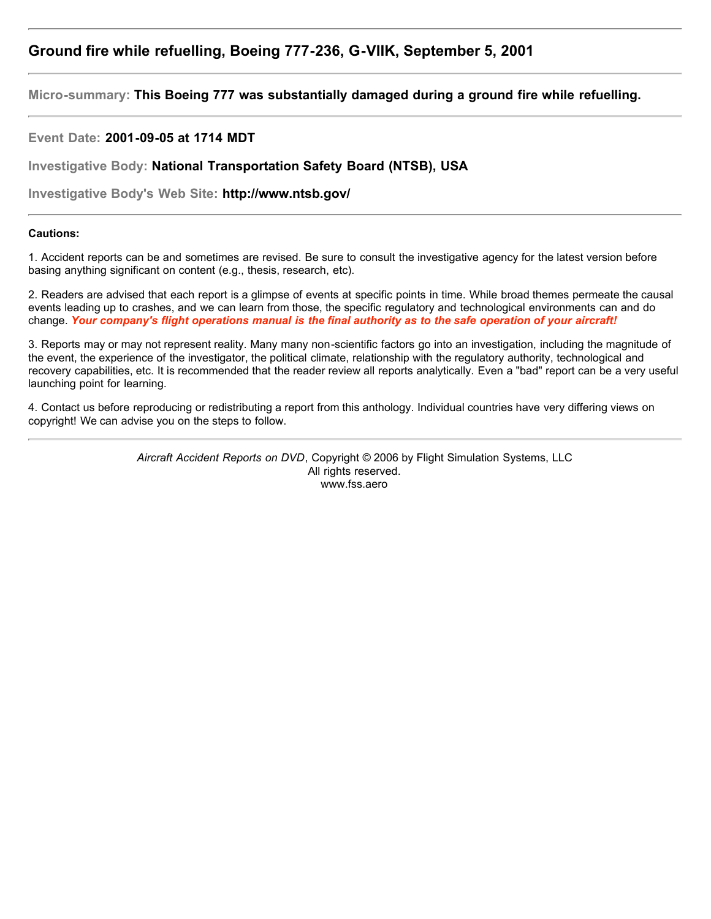# **Ground fire while refuelling, Boeing 777-236, G-VIIK, September 5, 2001**

**Micro-summary: This Boeing 777 was substantially damaged during a ground fire while refuelling.**

**Event Date: 2001-09-05 at 1714 MDT**

**Investigative Body: National Transportation Safety Board (NTSB), USA**

**Investigative Body's Web Site: http://www.ntsb.gov/**

## **Cautions:**

1. Accident reports can be and sometimes are revised. Be sure to consult the investigative agency for the latest version before basing anything significant on content (e.g., thesis, research, etc).

2. Readers are advised that each report is a glimpse of events at specific points in time. While broad themes permeate the causal events leading up to crashes, and we can learn from those, the specific regulatory and technological environments can and do change. *Your company's flight operations manual is the final authority as to the safe operation of your aircraft!*

3. Reports may or may not represent reality. Many many non-scientific factors go into an investigation, including the magnitude of the event, the experience of the investigator, the political climate, relationship with the regulatory authority, technological and recovery capabilities, etc. It is recommended that the reader review all reports analytically. Even a "bad" report can be a very useful launching point for learning.

4. Contact us before reproducing or redistributing a report from this anthology. Individual countries have very differing views on copyright! We can advise you on the steps to follow.

> *Aircraft Accident Reports on DVD*, Copyright © 2006 by Flight Simulation Systems, LLC All rights reserved. www.fss.aero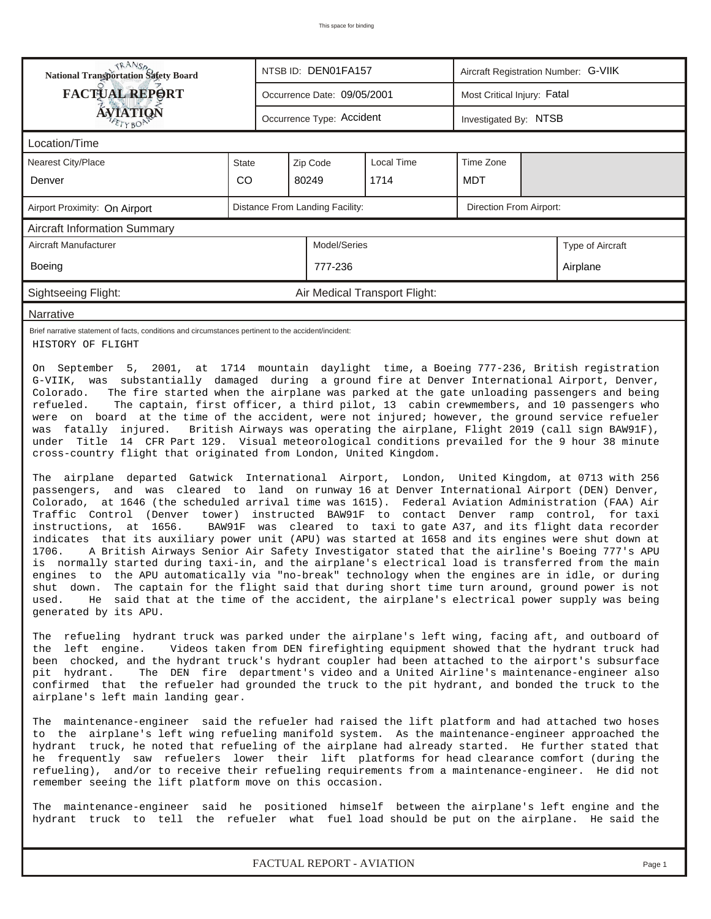|                                                                                                                                                                                                                                                                                                                                                                                                                                                                                                                                                                                                                                                                                                                                                                                                                                                                                                                                                                                                                                                                                                                                                                                                                                                                                                                                                                                                                                                                                                                                                                                                                                                                                                                                                                                                           | <b>National Transportation Safety Board</b><br>NTSB ID: DEN01FA157<br>Aircraft Registration Number: G-VIIK |                           |                                 |                               |                             |                       |                                                                                                                                                                    |  |
|-----------------------------------------------------------------------------------------------------------------------------------------------------------------------------------------------------------------------------------------------------------------------------------------------------------------------------------------------------------------------------------------------------------------------------------------------------------------------------------------------------------------------------------------------------------------------------------------------------------------------------------------------------------------------------------------------------------------------------------------------------------------------------------------------------------------------------------------------------------------------------------------------------------------------------------------------------------------------------------------------------------------------------------------------------------------------------------------------------------------------------------------------------------------------------------------------------------------------------------------------------------------------------------------------------------------------------------------------------------------------------------------------------------------------------------------------------------------------------------------------------------------------------------------------------------------------------------------------------------------------------------------------------------------------------------------------------------------------------------------------------------------------------------------------------------|------------------------------------------------------------------------------------------------------------|---------------------------|---------------------------------|-------------------------------|-----------------------------|-----------------------|--------------------------------------------------------------------------------------------------------------------------------------------------------------------|--|
| <b>FACTUAL REPORT</b>                                                                                                                                                                                                                                                                                                                                                                                                                                                                                                                                                                                                                                                                                                                                                                                                                                                                                                                                                                                                                                                                                                                                                                                                                                                                                                                                                                                                                                                                                                                                                                                                                                                                                                                                                                                     |                                                                                                            |                           | Occurrence Date: 09/05/2001     |                               | Most Critical Injury: Fatal |                       |                                                                                                                                                                    |  |
| <b>ÁVIATION</b>                                                                                                                                                                                                                                                                                                                                                                                                                                                                                                                                                                                                                                                                                                                                                                                                                                                                                                                                                                                                                                                                                                                                                                                                                                                                                                                                                                                                                                                                                                                                                                                                                                                                                                                                                                                           |                                                                                                            | Occurrence Type: Accident |                                 |                               |                             | Investigated By: NTSB |                                                                                                                                                                    |  |
| Location/Time                                                                                                                                                                                                                                                                                                                                                                                                                                                                                                                                                                                                                                                                                                                                                                                                                                                                                                                                                                                                                                                                                                                                                                                                                                                                                                                                                                                                                                                                                                                                                                                                                                                                                                                                                                                             |                                                                                                            |                           |                                 |                               |                             |                       |                                                                                                                                                                    |  |
| <b>Nearest City/Place</b>                                                                                                                                                                                                                                                                                                                                                                                                                                                                                                                                                                                                                                                                                                                                                                                                                                                                                                                                                                                                                                                                                                                                                                                                                                                                                                                                                                                                                                                                                                                                                                                                                                                                                                                                                                                 | <b>State</b>                                                                                               |                           | Zip Code                        | Local Time                    | Time Zone                   |                       |                                                                                                                                                                    |  |
| Denver                                                                                                                                                                                                                                                                                                                                                                                                                                                                                                                                                                                                                                                                                                                                                                                                                                                                                                                                                                                                                                                                                                                                                                                                                                                                                                                                                                                                                                                                                                                                                                                                                                                                                                                                                                                                    | CO                                                                                                         |                           | 80249                           | 1714                          | MDT                         |                       |                                                                                                                                                                    |  |
| Airport Proximity: On Airport                                                                                                                                                                                                                                                                                                                                                                                                                                                                                                                                                                                                                                                                                                                                                                                                                                                                                                                                                                                                                                                                                                                                                                                                                                                                                                                                                                                                                                                                                                                                                                                                                                                                                                                                                                             |                                                                                                            |                           | Distance From Landing Facility: |                               | Direction From Airport:     |                       |                                                                                                                                                                    |  |
| <b>Aircraft Information Summary</b>                                                                                                                                                                                                                                                                                                                                                                                                                                                                                                                                                                                                                                                                                                                                                                                                                                                                                                                                                                                                                                                                                                                                                                                                                                                                                                                                                                                                                                                                                                                                                                                                                                                                                                                                                                       |                                                                                                            |                           |                                 |                               |                             |                       |                                                                                                                                                                    |  |
| Aircraft Manufacturer                                                                                                                                                                                                                                                                                                                                                                                                                                                                                                                                                                                                                                                                                                                                                                                                                                                                                                                                                                                                                                                                                                                                                                                                                                                                                                                                                                                                                                                                                                                                                                                                                                                                                                                                                                                     | Model/Series                                                                                               |                           |                                 |                               | Type of Aircraft            |                       |                                                                                                                                                                    |  |
| Boeing                                                                                                                                                                                                                                                                                                                                                                                                                                                                                                                                                                                                                                                                                                                                                                                                                                                                                                                                                                                                                                                                                                                                                                                                                                                                                                                                                                                                                                                                                                                                                                                                                                                                                                                                                                                                    |                                                                                                            |                           | 777-236                         |                               |                             |                       | Airplane                                                                                                                                                           |  |
| Sightseeing Flight:                                                                                                                                                                                                                                                                                                                                                                                                                                                                                                                                                                                                                                                                                                                                                                                                                                                                                                                                                                                                                                                                                                                                                                                                                                                                                                                                                                                                                                                                                                                                                                                                                                                                                                                                                                                       |                                                                                                            |                           |                                 | Air Medical Transport Flight: |                             |                       |                                                                                                                                                                    |  |
| Narrative                                                                                                                                                                                                                                                                                                                                                                                                                                                                                                                                                                                                                                                                                                                                                                                                                                                                                                                                                                                                                                                                                                                                                                                                                                                                                                                                                                                                                                                                                                                                                                                                                                                                                                                                                                                                 |                                                                                                            |                           |                                 |                               |                             |                       |                                                                                                                                                                    |  |
| Brief narrative statement of facts, conditions and circumstances pertinent to the accident/incident:<br>HISTORY OF FLIGHT                                                                                                                                                                                                                                                                                                                                                                                                                                                                                                                                                                                                                                                                                                                                                                                                                                                                                                                                                                                                                                                                                                                                                                                                                                                                                                                                                                                                                                                                                                                                                                                                                                                                                 |                                                                                                            |                           |                                 |                               |                             |                       |                                                                                                                                                                    |  |
| The fire started when the airplane was parked at the gate unloading passengers and being<br>Colorado.<br>The captain, first officer, a third pilot, 13 cabin crewmembers, and 10 passengers who<br>refueled.<br>were on board at the time of the accident, were not injured; however, the ground service refueler<br>was fatally injured. British Airways was operating the airplane, Flight 2019 (call sign BAW91F),<br>under Title 14 CFR Part 129. Visual meteorological conditions prevailed for the 9 hour 38 minute<br>cross-country flight that originated from London, United Kingdom.<br>The airplane departed Gatwick International Airport, London, United Kingdom, at 0713 with 256<br>passengers, and was cleared to land on runway 16 at Denver International Airport (DEN) Denver,<br>Colorado, at 1646 (the scheduled arrival time was 1615). Federal Aviation Administration (FAA) Air<br>Traffic Control (Denver tower) instructed BAW91F to contact Denver ramp control, for taxi<br>instructions, at 1656.<br>indicates that its auxiliary power unit (APU) was started at 1658 and its engines were shut down at<br>1706.<br>A British Airways Senior Air Safety Investigator stated that the airline's Boeing 777's APU<br>is normally started during taxi-in, and the airplane's electrical load is transferred from the main<br>engines to the APU automatically via "no-break" technology when the engines are in idle, or during<br>The captain for the flight said that during short time turn around, ground power is not<br>shut down.<br>He said that at the time of the accident, the airplane's electrical power supply was being<br>used.<br>generated by its APU.<br>The refueling hydrant truck was parked under the airplane's left wing, facing aft, and outboard of |                                                                                                            |                           |                                 |                               |                             |                       | BAW91F was cleared to taxi to gate A37, and its flight data recorder                                                                                               |  |
| the left engine.<br>been chocked, and the hydrant truck's hydrant coupler had been attached to the airport's subsurface<br>pit hydrant.<br>confirmed that the refueler had grounded the truck to the pit hydrant, and bonded the truck to the<br>airplane's left main landing gear.                                                                                                                                                                                                                                                                                                                                                                                                                                                                                                                                                                                                                                                                                                                                                                                                                                                                                                                                                                                                                                                                                                                                                                                                                                                                                                                                                                                                                                                                                                                       |                                                                                                            |                           |                                 |                               |                             |                       | Videos taken from DEN firefighting equipment showed that the hydrant truck had<br>The DEN fire department's video and a United Airline's maintenance-engineer also |  |
| The maintenance-engineer said the refueler had raised the lift platform and had attached two hoses<br>to the airplane's left wing refueling manifold system. As the maintenance-engineer approached the<br>hydrant truck, he noted that refueling of the airplane had already started. He further stated that<br>he frequently saw refuelers lower their lift platforms for head clearance comfort (during the<br>refueling), and/or to receive their refueling requirements from a maintenance-engineer. He did not<br>remember seeing the lift platform move on this occasion.                                                                                                                                                                                                                                                                                                                                                                                                                                                                                                                                                                                                                                                                                                                                                                                                                                                                                                                                                                                                                                                                                                                                                                                                                          |                                                                                                            |                           |                                 |                               |                             |                       |                                                                                                                                                                    |  |
| The maintenance-engineer said he positioned himself between the airplane's left engine and the<br>hydrant truck to tell the refueler what fuel load should be put on the airplane. He said the                                                                                                                                                                                                                                                                                                                                                                                                                                                                                                                                                                                                                                                                                                                                                                                                                                                                                                                                                                                                                                                                                                                                                                                                                                                                                                                                                                                                                                                                                                                                                                                                            |                                                                                                            |                           |                                 |                               |                             |                       |                                                                                                                                                                    |  |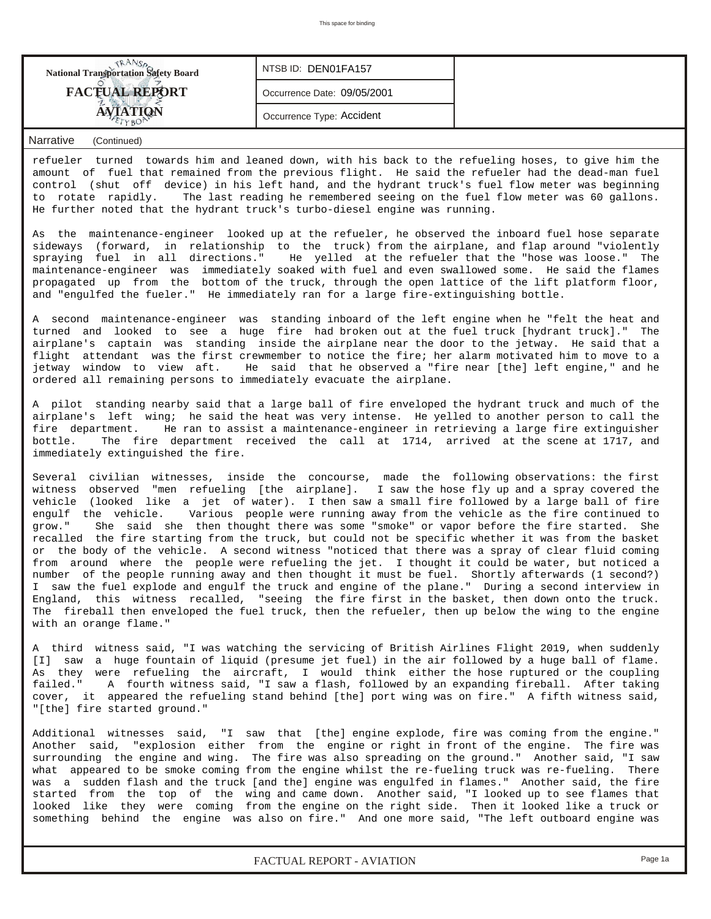| <b>National Transportation Safety Board</b> | NTSB ID: DEN01FA157         |  |
|---------------------------------------------|-----------------------------|--|
| <b>FACTUAL REPORT</b>                       | Occurrence Date: 09/05/2001 |  |
|                                             | Occurrence Type: Accident   |  |

refueler turned towards him and leaned down, with his back to the refueling hoses, to give him the amount of fuel that remained from the previous flight. He said the refueler had the dead-man fuel control (shut off device) in his left hand, and the hydrant truck's fuel flow meter was beginning to rotate rapidly. The last reading he remembered seeing on the fuel flow meter was 60 gallons. He further noted that the hydrant truck's turbo-diesel engine was running.

As the maintenance-engineer looked up at the refueler, he observed the inboard fuel hose separate sideways (forward, in relationship to the truck) from the airplane, and flap around "violently spraying fuel in all directions." He yelled at the refueler that the "hose was loose." The maintenance-engineer was immediately soaked with fuel and even swallowed some. He said the flames propagated up from the bottom of the truck, through the open lattice of the lift platform floor, and "engulfed the fueler." He immediately ran for a large fire-extinguishing bottle.

A second maintenance-engineer was standing inboard of the left engine when he "felt the heat and turned and looked to see a huge fire had broken out at the fuel truck [hydrant truck]." The airplane's captain was standing inside the airplane near the door to the jetway. He said that a flight attendant was the first crewmember to notice the fire; her alarm motivated him to move to a jetway window to view aft. He said that he observed a "fire near [the] left engine," and he ordered all remaining persons to immediately evacuate the airplane.

A pilot standing nearby said that a large ball of fire enveloped the hydrant truck and much of the airplane's left wing; he said the heat was very intense. He yelled to another person to call the fire department. He ran to assist a maintenance-engineer in retrieving a large fire extinguisher bottle. The fire department received the call at 1714, arrived at the scene at 1717, and immediately extinguished the fire.

Several civilian witnesses, inside the concourse, made the following observations: the first witness observed "men refueling [the airplane]. I saw the hose fly up and a spray covered the vehicle (looked like a jet of water). I then saw a small fire followed by a large ball of fire engulf the vehicle. Various people were running away from the vehicle as the fire continued to grow." She said she then thought there was some "smoke" or vapor before the fire started. She recalled the fire starting from the truck, but could not be specific whether it was from the basket or the body of the vehicle. A second witness "noticed that there was a spray of clear fluid coming from around where the people were refueling the jet. I thought it could be water, but noticed a number of the people running away and then thought it must be fuel. Shortly afterwards (1 second?) I saw the fuel explode and engulf the truck and engine of the plane." During a second interview in England, this witness recalled, "seeing the fire first in the basket, then down onto the truck. The fireball then enveloped the fuel truck, then the refueler, then up below the wing to the engine with an orange flame."

A third witness said, "I was watching the servicing of British Airlines Flight 2019, when suddenly [I] saw a huge fountain of liquid (presume jet fuel) in the air followed by a huge ball of flame. As they were refueling the aircraft, I would think either the hose ruptured or the coupling failed." A fourth witness said, "I saw a flash, followed by an expanding fireball. After taking cover, it appeared the refueling stand behind [the] port wing was on fire." A fifth witness said, "[the] fire started ground."

Additional witnesses said, "I saw that [the] engine explode, fire was coming from the engine." Another said, "explosion either from the engine or right in front of the engine. The fire was surrounding the engine and wing. The fire was also spreading on the ground." Another said, "I saw what appeared to be smoke coming from the engine whilst the re-fueling truck was re-fueling. There was a sudden flash and the truck [and the] engine was engulfed in flames." Another said, the fire started from the top of the wing and came down. Another said, "I looked up to see flames that looked like they were coming from the engine on the right side. Then it looked like a truck or something behind the engine was also on fire." And one more said, "The left outboard engine was

*FACTUAL REPORT - AVIATION Page 1a*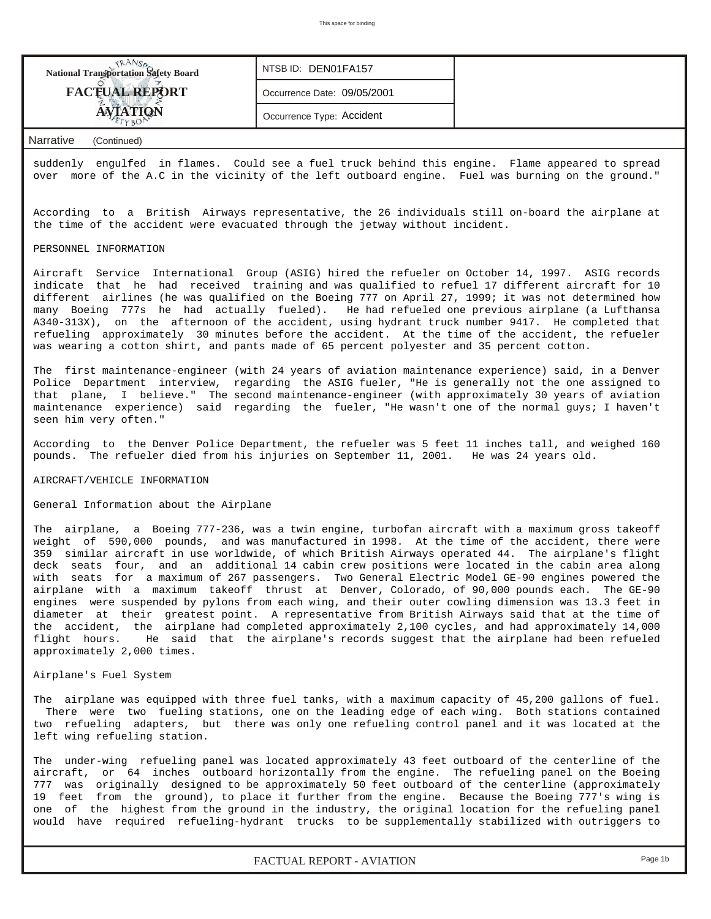**National Transportation Safety Board FACTUAL REPORT AVIATION** *NTSB ID:* DEN01FA157 *Occurrence Date:* 09/05/2001 *Occurrence Type:* Accident

## *Narrative (Continued)*

suddenly engulfed in flames. Could see a fuel truck behind this engine. Flame appeared to spread over more of the A.C in the vicinity of the left outboard engine. Fuel was burning on the ground."

According to a British Airways representative, the 26 individuals still on-board the airplane at the time of the accident were evacuated through the jetway without incident.

#### PERSONNEL INFORMATION

Aircraft Service International Group (ASIG) hired the refueler on October 14, 1997. ASIG records indicate that he had received training and was qualified to refuel 17 different aircraft for 10 different airlines (he was qualified on the Boeing 777 on April 27, 1999; it was not determined how many Boeing 777s he had actually fueled). He had refueled one previous airplane (a Lufthansa A340-313X), on the afternoon of the accident, using hydrant truck number 9417. He completed that refueling approximately 30 minutes before the accident. At the time of the accident, the refueler was wearing a cotton shirt, and pants made of 65 percent polyester and 35 percent cotton.

The first maintenance-engineer (with 24 years of aviation maintenance experience) said, in a Denver Police Department interview, regarding the ASIG fueler, "He is generally not the one assigned to that plane, I believe." The second maintenance-engineer (with approximately 30 years of aviation maintenance experience) said regarding the fueler, "He wasn't one of the normal guys; I haven't seen him very often."

According to the Denver Police Department, the refueler was 5 feet 11 inches tall, and weighed 160 pounds. The refueler died from his injuries on September 11, 2001. He was 24 years old.

#### AIRCRAFT/VEHICLE INFORMATION

#### General Information about the Airplane

The airplane, a Boeing 777-236, was a twin engine, turbofan aircraft with a maximum gross takeoff weight of 590,000 pounds, and was manufactured in 1998. At the time of the accident, there were 359 similar aircraft in use worldwide, of which British Airways operated 44. The airplane's flight deck seats four, and an additional 14 cabin crew positions were located in the cabin area along with seats for a maximum of 267 passengers. Two General Electric Model GE-90 engines powered the airplane with a maximum takeoff thrust at Denver, Colorado, of 90,000 pounds each. The GE-90 engines were suspended by pylons from each wing, and their outer cowling dimension was 13.3 feet in diameter at their greatest point. A representative from British Airways said that at the time of the accident, the airplane had completed approximately 2,100 cycles, and had approximately 14,000 flight hours. He said that the airplane's records suggest that the airplane had been refueled approximately 2,000 times.

#### Airplane's Fuel System

The airplane was equipped with three fuel tanks, with a maximum capacity of 45,200 gallons of fuel. There were two fueling stations, one on the leading edge of each wing. Both stations contained two refueling adapters, but there was only one refueling control panel and it was located at the left wing refueling station.

The under-wing refueling panel was located approximately 43 feet outboard of the centerline of the aircraft, or 64 inches outboard horizontally from the engine. The refueling panel on the Boeing 777 was originally designed to be approximately 50 feet outboard of the centerline (approximately 19 feet from the ground), to place it further from the engine. Because the Boeing 777's wing is one of the highest from the ground in the industry, the original location for the refueling panel would have required refueling-hydrant trucks to be supplementally stabilized with outriggers to

*FACTUAL REPORT - AVIATION Page 1b*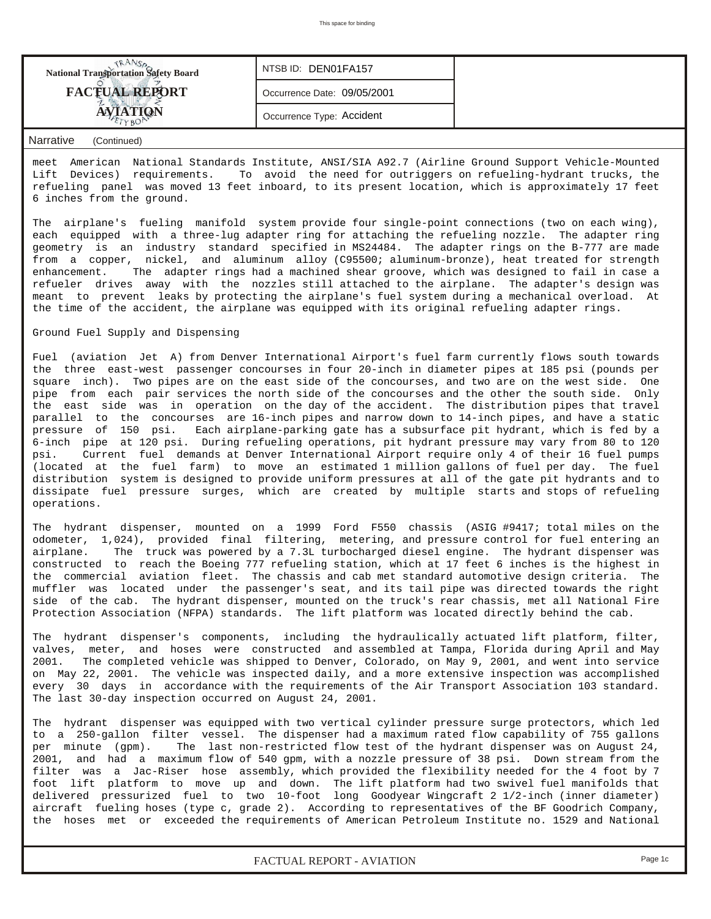| <b>National Transportation Safety Board</b> | NTSB ID: DEN01FA157         |  |
|---------------------------------------------|-----------------------------|--|
| <b>FACTUAL REPORT</b>                       | Occurrence Date: 09/05/2001 |  |
|                                             | Occurrence Type: Accident   |  |
|                                             |                             |  |

meet American National Standards Institute, ANSI/SIA A92.7 (Airline Ground Support Vehicle-Mounted Lift Devices) requirements. To avoid the need for outriggers on refueling-hydrant trucks, the refueling panel was moved 13 feet inboard, to its present location, which is approximately 17 feet 6 inches from the ground.

The airplane's fueling manifold system provide four single-point connections (two on each wing), each equipped with a three-lug adapter ring for attaching the refueling nozzle. The adapter ring geometry is an industry standard specified in MS24484. The adapter rings on the B-777 are made from a copper, nickel, and aluminum alloy (C95500; aluminum-bronze), heat treated for strength enhancement. The adapter rings had a machined shear groove, which was designed to fail in case a refueler drives away with the nozzles still attached to the airplane. The adapter's design was meant to prevent leaks by protecting the airplane's fuel system during a mechanical overload. At the time of the accident, the airplane was equipped with its original refueling adapter rings.

## Ground Fuel Supply and Dispensing

Fuel (aviation Jet A) from Denver International Airport's fuel farm currently flows south towards the three east-west passenger concourses in four 20-inch in diameter pipes at 185 psi (pounds per square inch). Two pipes are on the east side of the concourses, and two are on the west side. One pipe from each pair services the north side of the concourses and the other the south side. Only the east side was in operation on the day of the accident. The distribution pipes that travel parallel to the concourses are 16-inch pipes and narrow down to 14-inch pipes, and have a static pressure of 150 psi. Each airplane-parking gate has a subsurface pit hydrant, which is fed by a 6-inch pipe at 120 psi. During refueling operations, pit hydrant pressure may vary from 80 to 120 psi. Current fuel demands at Denver International Airport require only 4 of their 16 fuel pumps (located at the fuel farm) to move an estimated 1 million gallons of fuel per day. The fuel distribution system is designed to provide uniform pressures at all of the gate pit hydrants and to dissipate fuel pressure surges, which are created by multiple starts and stops of refueling operations.

The hydrant dispenser, mounted on a 1999 Ford F550 chassis (ASIG #9417; total miles on the odometer, 1,024), provided final filtering, metering, and pressure control for fuel entering an airplane. The truck was powered by a 7.3L turbocharged diesel engine. The hydrant dispenser was constructed to reach the Boeing 777 refueling station, which at 17 feet 6 inches is the highest in the commercial aviation fleet. The chassis and cab met standard automotive design criteria. The muffler was located under the passenger's seat, and its tail pipe was directed towards the right side of the cab. The hydrant dispenser, mounted on the truck's rear chassis, met all National Fire Protection Association (NFPA) standards. The lift platform was located directly behind the cab.

The hydrant dispenser's components, including the hydraulically actuated lift platform, filter, valves, meter, and hoses were constructed and assembled at Tampa, Florida during April and May 2001. The completed vehicle was shipped to Denver, Colorado, on May 9, 2001, and went into service on May 22, 2001. The vehicle was inspected daily, and a more extensive inspection was accomplished every 30 days in accordance with the requirements of the Air Transport Association 103 standard. The last 30-day inspection occurred on August 24, 2001.

The hydrant dispenser was equipped with two vertical cylinder pressure surge protectors, which led to a 250-gallon filter vessel. The dispenser had a maximum rated flow capability of 755 gallons per minute (gpm). The last non-restricted flow test of the hydrant dispenser was on August 24, 2001, and had a maximum flow of 540 gpm, with a nozzle pressure of 38 psi. Down stream from the filter was a Jac-Riser hose assembly, which provided the flexibility needed for the 4 foot by 7 foot lift platform to move up and down. The lift platform had two swivel fuel manifolds that delivered pressurized fuel to two 10-foot long Goodyear Wingcraft 2 1/2-inch (inner diameter) aircraft fueling hoses (type c, grade 2). According to representatives of the BF Goodrich Company, the hoses met or exceeded the requirements of American Petroleum Institute no. 1529 and National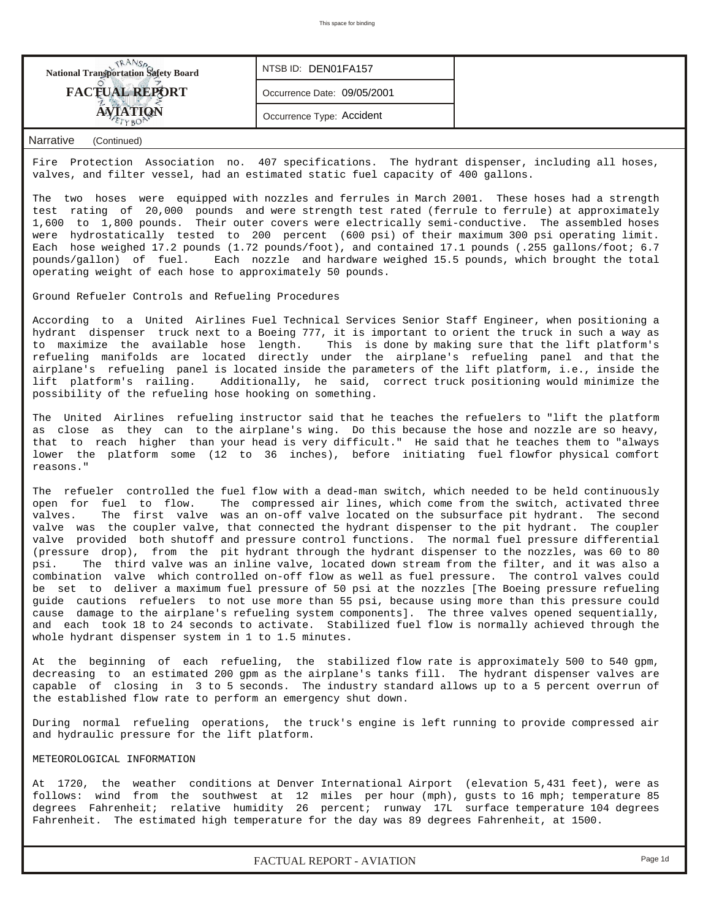| <b>National Transportation Safety Board</b> | NTSB ID: DEN01FA157         |  |
|---------------------------------------------|-----------------------------|--|
| <b>FACTUAL REPORT</b>                       | Occurrence Date: 09/05/2001 |  |
|                                             | Occurrence Type: Accident   |  |

Fire Protection Association no. 407 specifications. The hydrant dispenser, including all hoses, valves, and filter vessel, had an estimated static fuel capacity of 400 gallons.

The two hoses were equipped with nozzles and ferrules in March 2001. These hoses had a strength test rating of 20,000 pounds and were strength test rated (ferrule to ferrule) at approximately 1,600 to 1,800 pounds. Their outer covers were electrically semi-conductive. The assembled hoses were hydrostatically tested to 200 percent (600 psi) of their maximum 300 psi operating limit. Each hose weighed 17.2 pounds (1.72 pounds/foot), and contained 17.1 pounds (.255 gallons/foot; 6.7 pounds/gallon) of fuel. Each nozzle and hardware weighed 15.5 pounds, which brought the total operating weight of each hose to approximately 50 pounds.

Ground Refueler Controls and Refueling Procedures

According to a United Airlines Fuel Technical Services Senior Staff Engineer, when positioning a hydrant dispenser truck next to a Boeing 777, it is important to orient the truck in such a way as to maximize the available hose length. This is done by making sure that the lift platform's refueling manifolds are located directly under the airplane's refueling panel and that the airplane's refueling panel is located inside the parameters of the lift platform, i.e., inside the lift platform's railing. Additionally, he said, correct truck positioning would minimize the possibility of the refueling hose hooking on something.

The United Airlines refueling instructor said that he teaches the refuelers to "lift the platform as close as they can to the airplane's wing. Do this because the hose and nozzle are so heavy, that to reach higher than your head is very difficult." He said that he teaches them to "always lower the platform some (12 to 36 inches), before initiating fuel flowfor physical comfort reasons."

The refueler controlled the fuel flow with a dead-man switch, which needed to be held continuously open for fuel to flow. The compressed air lines, which come from the switch, activated three valves. The first valve was an on-off valve located on the subsurface pit hydrant. The second valve was the coupler valve, that connected the hydrant dispenser to the pit hydrant. The coupler valve provided both shutoff and pressure control functions. The normal fuel pressure differential (pressure drop), from the pit hydrant through the hydrant dispenser to the nozzles, was 60 to 80<br>psi. The third valve was an inline valve, located down stream from the filter, and it was also a The third valve was an inline valve, located down stream from the filter, and it was also a combination valve which controlled on-off flow as well as fuel pressure. The control valves could be set to deliver a maximum fuel pressure of 50 psi at the nozzles [The Boeing pressure refueling guide cautions refuelers to not use more than 55 psi, because using more than this pressure could cause damage to the airplane's refueling system components]. The three valves opened sequentially, and each took 18 to 24 seconds to activate. Stabilized fuel flow is normally achieved through the whole hydrant dispenser system in 1 to 1.5 minutes.

At the beginning of each refueling, the stabilized flow rate is approximately 500 to 540 gpm, decreasing to an estimated 200 gpm as the airplane's tanks fill. The hydrant dispenser valves are capable of closing in 3 to 5 seconds. The industry standard allows up to a 5 percent overrun of the established flow rate to perform an emergency shut down.

During normal refueling operations, the truck's engine is left running to provide compressed air and hydraulic pressure for the lift platform.

#### METEOROLOGICAL INFORMATION

At 1720, the weather conditions at Denver International Airport (elevation 5,431 feet), were as follows: wind from the southwest at 12 miles per hour (mph), gusts to 16 mph; temperature 85 degrees Fahrenheit; relative humidity 26 percent; runway 17L surface temperature 104 degrees Fahrenheit. The estimated high temperature for the day was 89 degrees Fahrenheit, at 1500.

*FACTUAL REPORT - AVIATION Page 1d*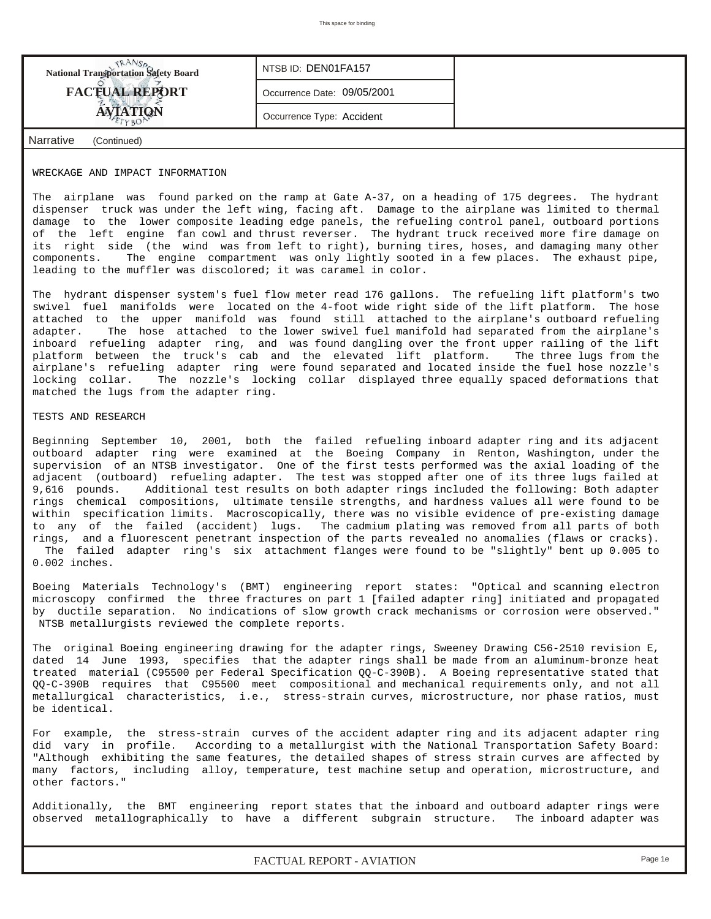| <b>National Transportation Safety Board</b> | NTSB ID: DEN01FA157         |  |
|---------------------------------------------|-----------------------------|--|
| <b>FACTUAL REPORT</b>                       | Occurrence Date: 09/05/2001 |  |
|                                             | Occurrence Type: Accident   |  |
| Narrative<br>(Continued)                    |                             |  |

#### WRECKAGE AND IMPACT INFORMATION

The airplane was found parked on the ramp at Gate A-37, on a heading of 175 degrees. The hydrant dispenser truck was under the left wing, facing aft. Damage to the airplane was limited to thermal damage to the lower composite leading edge panels, the refueling control panel, outboard portions of the left engine fan cowl and thrust reverser. The hydrant truck received more fire damage on its right side (the wind was from left to right), burning tires, hoses, and damaging many other components. The engine compartment was only lightly sooted in a few places. The exhaust pipe, leading to the muffler was discolored; it was caramel in color.

The hydrant dispenser system's fuel flow meter read 176 gallons. The refueling lift platform's two swivel fuel manifolds were located on the 4-foot wide right side of the lift platform. The hose attached to the upper manifold was found still attached to the airplane's outboard refueling adapter. The hose attached to the lower swivel fuel manifold had separated from the airplane's inboard refueling adapter ring, and was found dangling over the front upper railing of the lift platform between the truck's cab and the elevated lift platform. The three lugs from the airplane's refueling adapter ring were found separated and located inside the fuel hose nozzle's locking collar. The nozzle's locking collar displayed three equally spaced deformations that matched the lugs from the adapter ring.

#### TESTS AND RESEARCH

Beginning September 10, 2001, both the failed refueling inboard adapter ring and its adjacent outboard adapter ring were examined at the Boeing Company in Renton, Washington, under the supervision of an NTSB investigator. One of the first tests performed was the axial loading of the adjacent (outboard) refueling adapter. The test was stopped after one of its three lugs failed at 9,616 pounds. Additional test results on both adapter rings included the following: Both adapter rings chemical compositions, ultimate tensile strengths, and hardness values all were found to be within specification limits. Macroscopically, there was no visible evidence of pre-existing damage to any of the failed (accident) lugs. The cadmium plating was removed from all parts of both rings, and a fluorescent penetrant inspection of the parts revealed no anomalies (flaws or cracks). The failed adapter ring's six attachment flanges were found to be "slightly" bent up 0.005 to 0.002 inches.

Boeing Materials Technology's (BMT) engineering report states: "Optical and scanning electron microscopy confirmed the three fractures on part 1 [failed adapter ring] initiated and propagated by ductile separation. No indications of slow growth crack mechanisms or corrosion were observed." NTSB metallurgists reviewed the complete reports.

The original Boeing engineering drawing for the adapter rings, Sweeney Drawing C56-2510 revision E, dated 14 June 1993, specifies that the adapter rings shall be made from an aluminum-bronze heat treated material (C95500 per Federal Specification QQ-C-390B). A Boeing representative stated that QQ-C-390B requires that C95500 meet compositional and mechanical requirements only, and not all metallurgical characteristics, i.e., stress-strain curves, microstructure, nor phase ratios, must be identical.

For example, the stress-strain curves of the accident adapter ring and its adjacent adapter ring did vary in profile. According to a metallurgist with the National Transportation Safety Board: "Although exhibiting the same features, the detailed shapes of stress strain curves are affected by many factors, including alloy, temperature, test machine setup and operation, microstructure, and other factors."

Additionally, the BMT engineering report states that the inboard and outboard adapter rings were observed metallographically to have a different subgrain structure. The inboard adapter was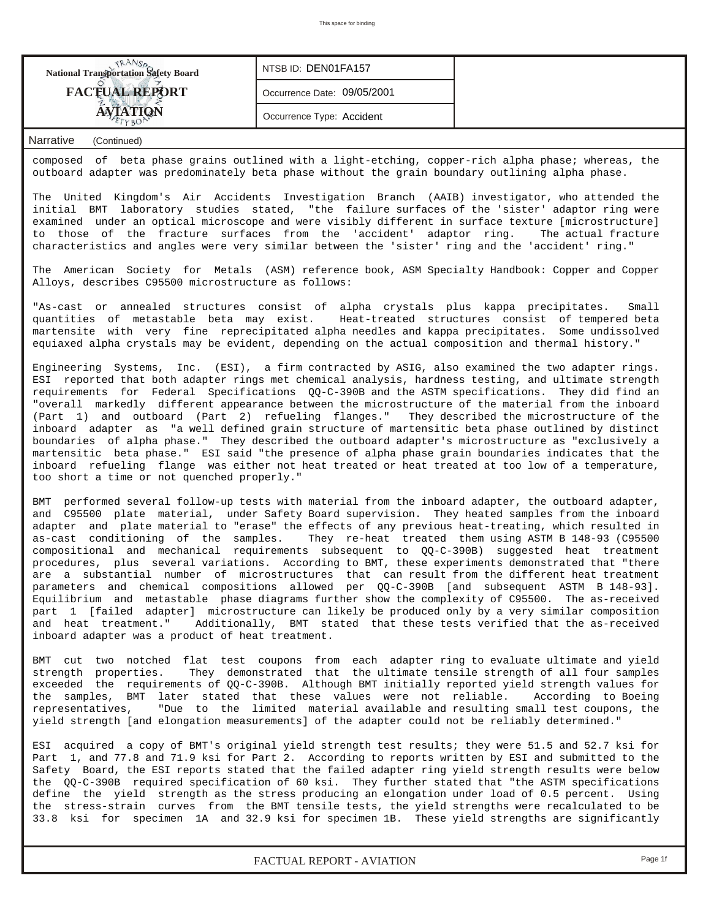| <b>National Transportation Safety Board</b> | NTSB ID: DEN01FA157         |  |
|---------------------------------------------|-----------------------------|--|
| <b>FACTUAL REPORT</b>                       | Occurrence Date: 09/05/2001 |  |
|                                             | Occurrence Type: Accident   |  |

composed of beta phase grains outlined with a light-etching, copper-rich alpha phase; whereas, the outboard adapter was predominately beta phase without the grain boundary outlining alpha phase.

The United Kingdom's Air Accidents Investigation Branch (AAIB) investigator, who attended the initial BMT laboratory studies stated, "the failure surfaces of the 'sister' adaptor ring were examined under an optical microscope and were visibly different in surface texture [microstructure] to those of the fracture surfaces from the 'accident' adaptor ring. The actual fracture characteristics and angles were very similar between the 'sister' ring and the 'accident' ring."

The American Society for Metals (ASM) reference book, ASM Specialty Handbook: Copper and Copper Alloys, describes C95500 microstructure as follows:

"As-cast or annealed structures consist of alpha crystals plus kappa precipitates. Small quantities of metastable beta may exist. Heat-treated structures consist of tempered beta martensite with very fine reprecipitated alpha needles and kappa precipitates. Some undissolved equiaxed alpha crystals may be evident, depending on the actual composition and thermal history."

Engineering Systems, Inc. (ESI), a firm contracted by ASIG, also examined the two adapter rings. ESI reported that both adapter rings met chemical analysis, hardness testing, and ultimate strength requirements for Federal Specifications QQ-C-390B and the ASTM specifications. They did find an "overall markedly different appearance between the microstructure of the material from the inboard (Part 1) and outboard (Part 2) refueling flanges." They described the microstructure of the inboard adapter as "a well defined grain structure of martensitic beta phase outlined by distinct boundaries of alpha phase." They described the outboard adapter's microstructure as "exclusively a martensitic beta phase." ESI said "the presence of alpha phase grain boundaries indicates that the inboard refueling flange was either not heat treated or heat treated at too low of a temperature, too short a time or not quenched properly."

BMT performed several follow-up tests with material from the inboard adapter, the outboard adapter, and C95500 plate material, under Safety Board supervision. They heated samples from the inboard adapter and plate material to "erase" the effects of any previous heat-treating, which resulted in as-cast conditioning of the samples. They re-heat treated them using ASTM B 148-93 (C95500 compositional and mechanical requirements subsequent to QQ-C-390B) suggested heat treatment procedures, plus several variations. According to BMT, these experiments demonstrated that "there are a substantial number of microstructures that can result from the different heat treatment parameters and chemical compositions allowed per QQ-C-390B [and subsequent ASTM B 148-93]. Equilibrium and metastable phase diagrams further show the complexity of C95500. The as-received part 1 [failed adapter] microstructure can likely be produced only by a very similar composition and heat treatment." Additionally, BMT stated that these tests verified that the as-received inboard adapter was a product of heat treatment.

BMT cut two notched flat test coupons from each adapter ring to evaluate ultimate and yield strength properties. They demonstrated that the ultimate tensile strength of all four samples exceeded the requirements of QQ-C-390B. Although BMT initially reported yield strength values for the samples, BMT later stated that these values were not reliable. According to Boeing representatives, "Due to the limited material available and resulting small test coupons, the yield strength [and elongation measurements] of the adapter could not be reliably determined."

ESI acquired a copy of BMT's original yield strength test results; they were 51.5 and 52.7 ksi for Part 1, and 77.8 and 71.9 ksi for Part 2. According to reports written by ESI and submitted to the Safety Board, the ESI reports stated that the failed adapter ring yield strength results were below the QQ-C-390B required specification of 60 ksi. They further stated that "the ASTM specifications define the yield strength as the stress producing an elongation under load of 0.5 percent. Using the stress-strain curves from the BMT tensile tests, the yield strengths were recalculated to be 33.8 ksi for specimen 1A and 32.9 ksi for specimen 1B. These yield strengths are significantly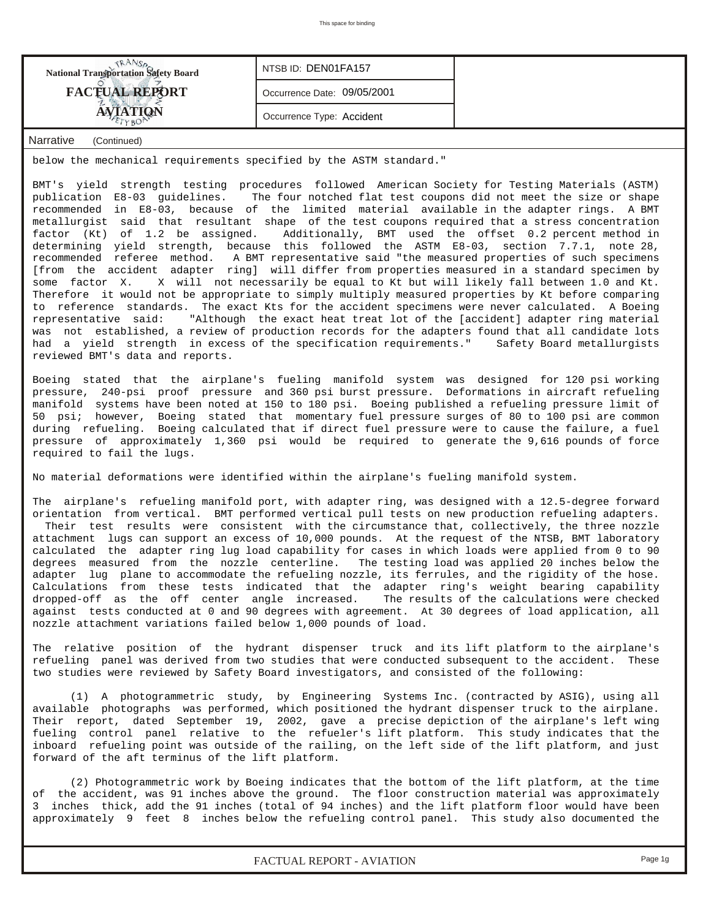| <b>National Transportation Safety Board</b> | NTSB ID: DEN01FA157         |  |
|---------------------------------------------|-----------------------------|--|
| <b>FACTUAL REPORT</b>                       | Occurrence Date: 09/05/2001 |  |
| <b>AVIATION</b>                             | Occurrence Type: Accident   |  |
| Narrative<br>(Continued)                    |                             |  |

below the mechanical requirements specified by the ASTM standard."

BMT's yield strength testing procedures followed American Society for Testing Materials (ASTM) publication E8-03 guidelines. The four notched flat test coupons did not meet the size or shape recommended in E8-03, because of the limited material available in the adapter rings. A BMT metallurgist said that resultant shape of the test coupons required that a stress concentration factor (Kt) of 1.2 be assigned. Additionally, BMT used the offset 0.2 percent method in determining yield strength, because this followed the ASTM E8-03, section 7.7.1, note 28, recommended referee method. A BMT representative said "the measured properties of such specimens [from the accident adapter ring] will differ from properties measured in a standard specimen by some factor X. X will not necessarily be equal to Kt but will likely fall between 1.0 and Kt. Therefore it would not be appropriate to simply multiply measured properties by Kt before comparing to reference standards. The exact Kts for the accident specimens were never calculated. A Boeing representative said: "Although the exact heat treat lot of the [accident] adapter ring material was not established, a review of production records for the adapters found that all candidate lots had a yield strength in excess of the specification requirements." Safety Board metallurgists reviewed BMT's data and reports.

Boeing stated that the airplane's fueling manifold system was designed for 120 psi working pressure, 240-psi proof pressure and 360 psi burst pressure. Deformations in aircraft refueling manifold systems have been noted at 150 to 180 psi. Boeing published a refueling pressure limit of 50 psi; however, Boeing stated that momentary fuel pressure surges of 80 to 100 psi are common during refueling. Boeing calculated that if direct fuel pressure were to cause the failure, a fuel pressure of approximately 1,360 psi would be required to generate the 9,616 pounds of force required to fail the lugs.

No material deformations were identified within the airplane's fueling manifold system.

The airplane's refueling manifold port, with adapter ring, was designed with a 12.5-degree forward orientation from vertical. BMT performed vertical pull tests on new production refueling adapters.

Their test results were consistent with the circumstance that, collectively, the three nozzle attachment lugs can support an excess of 10,000 pounds. At the request of the NTSB, BMT laboratory calculated the adapter ring lug load capability for cases in which loads were applied from 0 to 90 degrees measured from the nozzle centerline. The testing load was applied 20 inches below the adapter lug plane to accommodate the refueling nozzle, its ferrules, and the rigidity of the hose. Calculations from these tests indicated that the adapter ring's weight bearing capability dropped-off as the off center angle increased. The results of the calculations were checked against tests conducted at 0 and 90 degrees with agreement. At 30 degrees of load application, all nozzle attachment variations failed below 1,000 pounds of load.

The relative position of the hydrant dispenser truck and its lift platform to the airplane's refueling panel was derived from two studies that were conducted subsequent to the accident. These two studies were reviewed by Safety Board investigators, and consisted of the following:

 (1) A photogrammetric study, by Engineering Systems Inc. (contracted by ASIG), using all available photographs was performed, which positioned the hydrant dispenser truck to the airplane. Their report, dated September 19, 2002, gave a precise depiction of the airplane's left wing fueling control panel relative to the refueler's lift platform. This study indicates that the inboard refueling point was outside of the railing, on the left side of the lift platform, and just forward of the aft terminus of the lift platform.

 (2) Photogrammetric work by Boeing indicates that the bottom of the lift platform, at the time of the accident, was 91 inches above the ground. The floor construction material was approximately 3 inches thick, add the 91 inches (total of 94 inches) and the lift platform floor would have been approximately 9 feet 8 inches below the refueling control panel. This study also documented the

*FACTUAL REPORT - AVIATION Page 1g*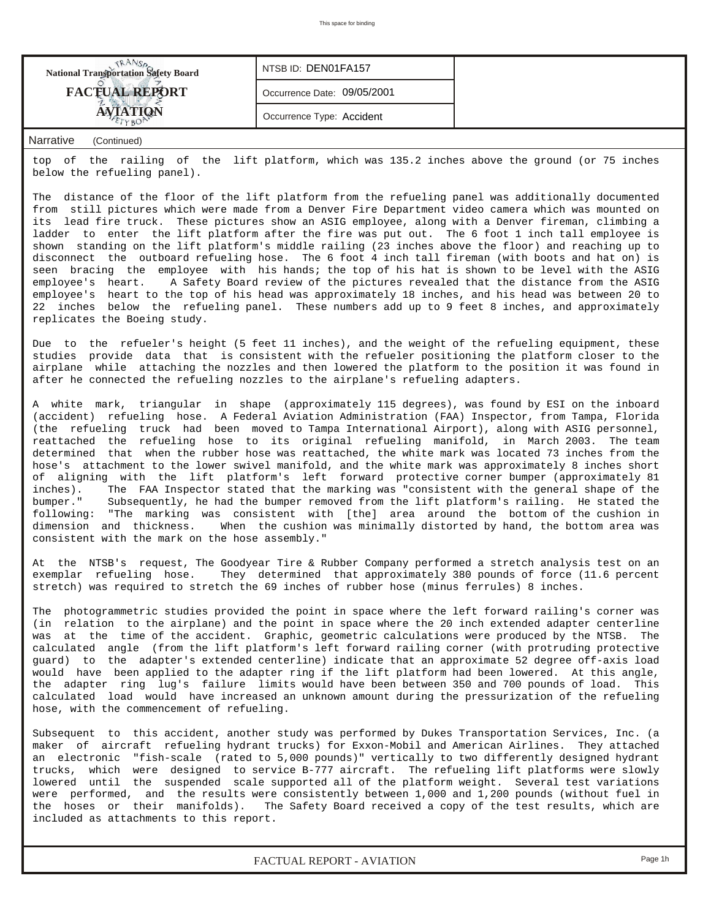| <b>National Transportation Safety Board</b> | NTSB ID: DEN01FA157         |  |
|---------------------------------------------|-----------------------------|--|
| <b>FACTUAL REPORT</b>                       | Occurrence Date: 09/05/2001 |  |
|                                             | Occurrence Type: Accident   |  |

top of the railing of the lift platform, which was 135.2 inches above the ground (or 75 inches below the refueling panel).

The distance of the floor of the lift platform from the refueling panel was additionally documented from still pictures which were made from a Denver Fire Department video camera which was mounted on its lead fire truck. These pictures show an ASIG employee, along with a Denver fireman, climbing a ladder to enter the lift platform after the fire was put out. The 6 foot 1 inch tall employee is shown standing on the lift platform's middle railing (23 inches above the floor) and reaching up to disconnect the outboard refueling hose. The 6 foot 4 inch tall fireman (with boots and hat on) is seen bracing the employee with his hands; the top of his hat is shown to be level with the ASIG employee's heart. A Safety Board review of the pictures revealed that the distance from the ASIG employee's heart to the top of his head was approximately 18 inches, and his head was between 20 to 22 inches below the refueling panel. These numbers add up to 9 feet 8 inches, and approximately replicates the Boeing study.

Due to the refueler's height (5 feet 11 inches), and the weight of the refueling equipment, these studies provide data that is consistent with the refueler positioning the platform closer to the airplane while attaching the nozzles and then lowered the platform to the position it was found in after he connected the refueling nozzles to the airplane's refueling adapters.

A white mark, triangular in shape (approximately 115 degrees), was found by ESI on the inboard (accident) refueling hose. A Federal Aviation Administration (FAA) Inspector, from Tampa, Florida (the refueling truck had been moved to Tampa International Airport), along with ASIG personnel, reattached the refueling hose to its original refueling manifold, in March 2003. The team determined that when the rubber hose was reattached, the white mark was located 73 inches from the hose's attachment to the lower swivel manifold, and the white mark was approximately 8 inches short of aligning with the lift platform's left forward protective corner bumper (approximately 81 inches). The FAA Inspector stated that the marking was "consistent with the general shape of the bumper." Subsequently, he had the bumper removed from the lift platform's railing. He stated the following: "The marking was consistent with [the] area around the bottom of the cushion in dimension and thickness. When the cushion was minimally distorted by hand, the bottom area was consistent with the mark on the hose assembly."

At the NTSB's request, The Goodyear Tire & Rubber Company performed a stretch analysis test on an exemplar refueling hose. They determined that approximately 380 pounds of force (11.6 percent stretch) was required to stretch the 69 inches of rubber hose (minus ferrules) 8 inches.

The photogrammetric studies provided the point in space where the left forward railing's corner was (in relation to the airplane) and the point in space where the 20 inch extended adapter centerline was at the time of the accident. Graphic, geometric calculations were produced by the NTSB. The calculated angle (from the lift platform's left forward railing corner (with protruding protective guard) to the adapter's extended centerline) indicate that an approximate 52 degree off-axis load would have been applied to the adapter ring if the lift platform had been lowered. At this angle, the adapter ring lug's failure limits would have been between 350 and 700 pounds of load. This calculated load would have increased an unknown amount during the pressurization of the refueling hose, with the commencement of refueling.

Subsequent to this accident, another study was performed by Dukes Transportation Services, Inc. (a maker of aircraft refueling hydrant trucks) for Exxon-Mobil and American Airlines. They attached an electronic "fish-scale (rated to 5,000 pounds)" vertically to two differently designed hydrant trucks, which were designed to service B-777 aircraft. The refueling lift platforms were slowly lowered until the suspended scale supported all of the platform weight. Several test variations were performed, and the results were consistently between 1,000 and 1,200 pounds (without fuel in the hoses or their manifolds). The Safety Board received a copy of the test results, which are included as attachments to this report.

*FACTUAL REPORT - AVIATION Page 1h*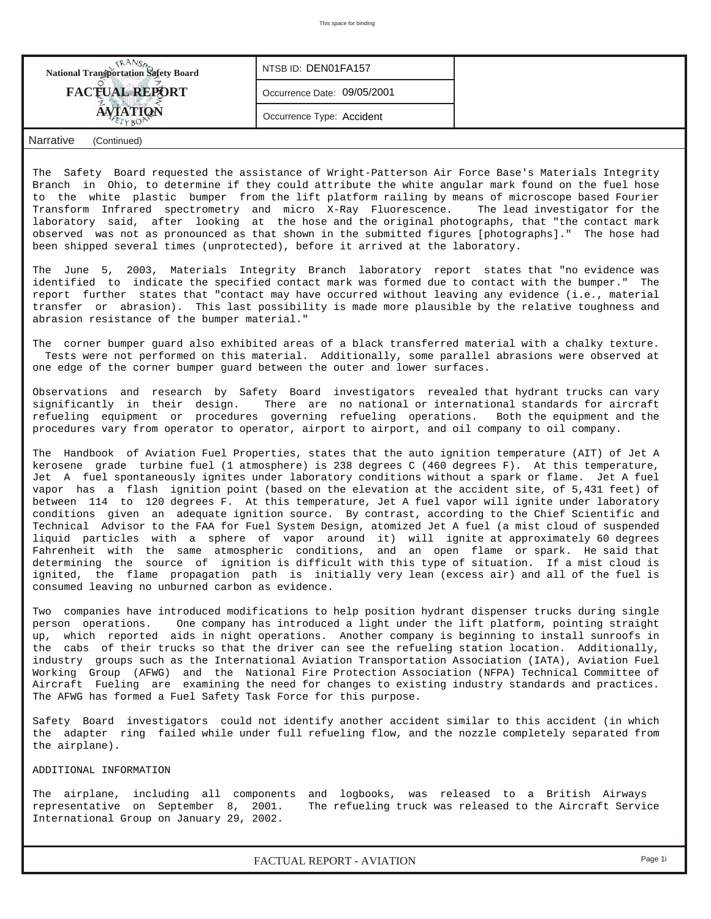| <b>National Transportation Safety Board</b> | NTSB ID: DEN01FA157         |  |
|---------------------------------------------|-----------------------------|--|
| <b>FACTUAL REPORT</b>                       | Occurrence Date: 09/05/2001 |  |
| <b>ATION</b>                                | Occurrence Type: Accident   |  |
| Narrative<br>(Continued)                    |                             |  |

The Safety Board requested the assistance of Wright-Patterson Air Force Base's Materials Integrity Branch in Ohio, to determine if they could attribute the white angular mark found on the fuel hose to the white plastic bumper from the lift platform railing by means of microscope based Fourier Transform Infrared spectrometry and micro X-Ray Fluorescence. The lead investigator for the laboratory said, after looking at the hose and the original photographs, that "the contact mark observed was not as pronounced as that shown in the submitted figures [photographs]." The hose had been shipped several times (unprotected), before it arrived at the laboratory.

The June 5, 2003, Materials Integrity Branch laboratory report states that "no evidence was identified to indicate the specified contact mark was formed due to contact with the bumper." The report further states that "contact may have occurred without leaving any evidence (i.e., material transfer or abrasion). This last possibility is made more plausible by the relative toughness and abrasion resistance of the bumper material."

The corner bumper guard also exhibited areas of a black transferred material with a chalky texture. Tests were not performed on this material. Additionally, some parallel abrasions were observed at one edge of the corner bumper guard between the outer and lower surfaces.

Observations and research by Safety Board investigators revealed that hydrant trucks can vary significantly in their design. There are no national or international standards for aircraft refueling equipment or procedures governing refueling operations. Both the equipment and the procedures vary from operator to operator, airport to airport, and oil company to oil company.

The Handbook of Aviation Fuel Properties, states that the auto ignition temperature (AIT) of Jet A kerosene grade turbine fuel (1 atmosphere) is 238 degrees C (460 degrees F). At this temperature, Jet A fuel spontaneously ignites under laboratory conditions without a spark or flame. Jet A fuel vapor has a flash ignition point (based on the elevation at the accident site, of 5,431 feet) of between 114 to 120 degrees F. At this temperature, Jet A fuel vapor will ignite under laboratory conditions given an adequate ignition source. By contrast, according to the Chief Scientific and Technical Advisor to the FAA for Fuel System Design, atomized Jet A fuel (a mist cloud of suspended liquid particles with a sphere of vapor around it) will ignite at approximately 60 degrees Fahrenheit with the same atmospheric conditions, and an open flame or spark. He said that determining the source of ignition is difficult with this type of situation. If a mist cloud is ignited, the flame propagation path is initially very lean (excess air) and all of the fuel is consumed leaving no unburned carbon as evidence.

Two companies have introduced modifications to help position hydrant dispenser trucks during single person operations. One company has introduced a light under the lift platform, pointing straight up, which reported aids in night operations. Another company is beginning to install sunroofs in the cabs of their trucks so that the driver can see the refueling station location. Additionally, industry groups such as the International Aviation Transportation Association (IATA), Aviation Fuel Working Group (AFWG) and the National Fire Protection Association (NFPA) Technical Committee of Aircraft Fueling are examining the need for changes to existing industry standards and practices. The AFWG has formed a Fuel Safety Task Force for this purpose.

Safety Board investigators could not identify another accident similar to this accident (in which the adapter ring failed while under full refueling flow, and the nozzle completely separated from the airplane).

#### ADDITIONAL INFORMATION

The airplane, including all components and logbooks, was released to a British Airways representative on September 8, 2001. The refueling truck was released to the Aircraft Service International Group on January 29, 2002.

*FACTUAL REPORT - AVIATION Page 1i*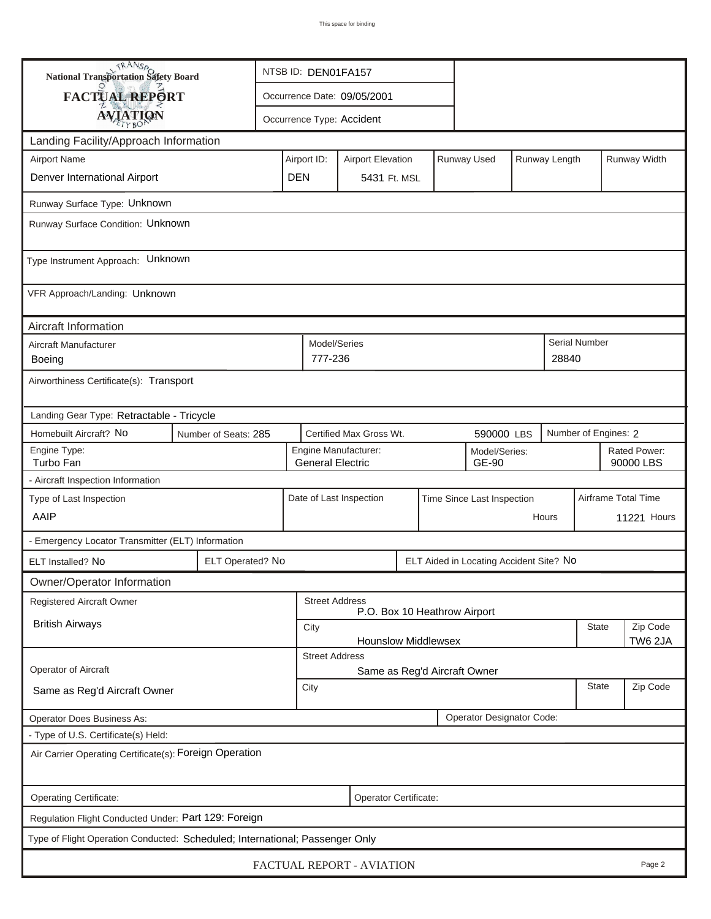| <b>National Transportation Safety Board</b>                                  | NTSB ID: DEN01FA157  |                                                                |                                                       |                           |  |  |                                         |       |                      |                      |                           |
|------------------------------------------------------------------------------|----------------------|----------------------------------------------------------------|-------------------------------------------------------|---------------------------|--|--|-----------------------------------------|-------|----------------------|----------------------|---------------------------|
| <b>FACTUAL REPORT</b>                                                        |                      |                                                                | Occurrence Date: 09/05/2001                           |                           |  |  |                                         |       |                      |                      |                           |
| <b>AVIATION</b>                                                              |                      |                                                                |                                                       | Occurrence Type: Accident |  |  |                                         |       |                      |                      |                           |
| Landing Facility/Approach Information                                        |                      |                                                                |                                                       |                           |  |  |                                         |       |                      |                      |                           |
| <b>Airport Name</b>                                                          |                      |                                                                | Airport ID:                                           | <b>Airport Elevation</b>  |  |  | Runway Used                             |       | Runway Length        |                      | Runway Width              |
| Denver International Airport                                                 |                      | <b>DEN</b>                                                     |                                                       | 5431 Ft. MSL              |  |  |                                         |       |                      |                      |                           |
| Runway Surface Type: Unknown                                                 |                      |                                                                |                                                       |                           |  |  |                                         |       |                      |                      |                           |
| Runway Surface Condition: Unknown                                            |                      |                                                                |                                                       |                           |  |  |                                         |       |                      |                      |                           |
| Type Instrument Approach: Unknown                                            |                      |                                                                |                                                       |                           |  |  |                                         |       |                      |                      |                           |
| VFR Approach/Landing: Unknown                                                |                      |                                                                |                                                       |                           |  |  |                                         |       |                      |                      |                           |
| Aircraft Information                                                         |                      |                                                                |                                                       |                           |  |  |                                         |       |                      |                      |                           |
| Aircraft Manufacturer<br><b>Boeing</b>                                       |                      | Model/Series<br>777-236                                        |                                                       |                           |  |  |                                         | 28840 | <b>Serial Number</b> |                      |                           |
| Airworthiness Certificate(s): Transport                                      |                      |                                                                |                                                       |                           |  |  |                                         |       |                      |                      |                           |
| Landing Gear Type: Retractable - Tricycle                                    |                      |                                                                |                                                       |                           |  |  |                                         |       |                      |                      |                           |
| Homebuilt Aircraft? No                                                       | Number of Seats: 285 |                                                                |                                                       | Certified Max Gross Wt.   |  |  | 590000 LBS                              |       |                      | Number of Engines: 2 |                           |
| Engine Type:<br>Turbo Fan                                                    |                      |                                                                | <b>General Electric</b>                               | Engine Manufacturer:      |  |  | Model/Series:<br>GE-90                  |       |                      |                      | Rated Power:<br>90000 LBS |
| - Aircraft Inspection Information                                            |                      |                                                                |                                                       |                           |  |  |                                         |       |                      |                      |                           |
| Type of Last Inspection                                                      |                      |                                                                | Date of Last Inspection<br>Time Since Last Inspection |                           |  |  |                                         |       | Airframe Total Time  |                      |                           |
| AAIP                                                                         |                      |                                                                | Hours                                                 |                           |  |  |                                         |       | <b>11221 Hours</b>   |                      |                           |
| - Emergency Locator Transmitter (ELT) Information                            |                      |                                                                |                                                       |                           |  |  |                                         |       |                      |                      |                           |
| ELT Installed? No                                                            | ELT Operated? No     |                                                                |                                                       |                           |  |  | ELT Aided in Locating Accident Site? No |       |                      |                      |                           |
| Owner/Operator Information                                                   |                      |                                                                |                                                       |                           |  |  |                                         |       |                      |                      |                           |
| Registered Aircraft Owner                                                    |                      |                                                                | <b>Street Address</b><br>P.O. Box 10 Heathrow Airport |                           |  |  |                                         |       |                      |                      |                           |
| <b>British Airways</b>                                                       |                      |                                                                | City                                                  |                           |  |  |                                         | State | Zip Code             |                      |                           |
|                                                                              |                      | TW6 2JA<br><b>Hounslow Middlewsex</b><br><b>Street Address</b> |                                                       |                           |  |  |                                         |       |                      |                      |                           |
| Operator of Aircraft                                                         |                      |                                                                |                                                       |                           |  |  | Same as Reg'd Aircraft Owner            |       |                      |                      |                           |
| Same as Reg'd Aircraft Owner                                                 |                      |                                                                | City                                                  |                           |  |  |                                         |       |                      | State                | Zip Code                  |
| Operator Does Business As:                                                   |                      |                                                                |                                                       |                           |  |  | Operator Designator Code:               |       |                      |                      |                           |
| - Type of U.S. Certificate(s) Held:                                          |                      |                                                                |                                                       |                           |  |  |                                         |       |                      |                      |                           |
| Air Carrier Operating Certificate(s): Foreign Operation                      |                      |                                                                |                                                       |                           |  |  |                                         |       |                      |                      |                           |
| Operating Certificate:                                                       |                      |                                                                |                                                       | Operator Certificate:     |  |  |                                         |       |                      |                      |                           |
| Regulation Flight Conducted Under: Part 129: Foreign                         |                      |                                                                |                                                       |                           |  |  |                                         |       |                      |                      |                           |
| Type of Flight Operation Conducted: Scheduled; International; Passenger Only |                      |                                                                |                                                       |                           |  |  |                                         |       |                      |                      |                           |
|                                                                              |                      |                                                                |                                                       | FACTUAL REPORT - AVIATION |  |  |                                         |       |                      |                      | Page 2                    |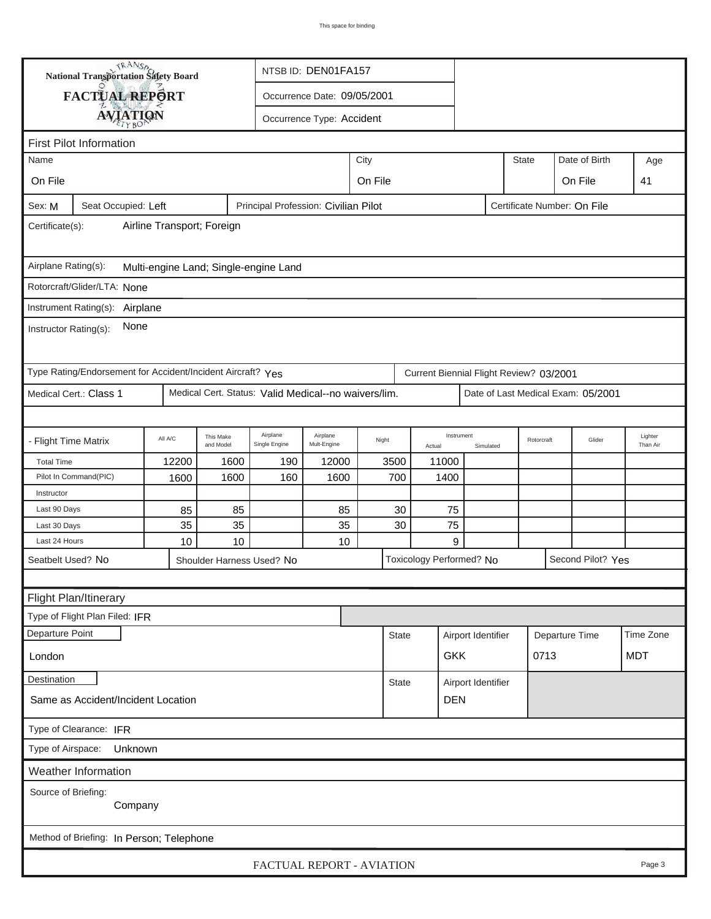|                       | <b>National Transportation Safety Board</b>                 |                            |                           |                                                      | NTSB ID: DEN01FA157         |                           |                          |                    |           |                                         |                                    |                     |
|-----------------------|-------------------------------------------------------------|----------------------------|---------------------------|------------------------------------------------------|-----------------------------|---------------------------|--------------------------|--------------------|-----------|-----------------------------------------|------------------------------------|---------------------|
|                       | FACTUAL REPORT                                              |                            |                           |                                                      | Occurrence Date: 09/05/2001 |                           |                          |                    |           |                                         |                                    |                     |
|                       |                                                             |                            |                           |                                                      | Occurrence Type: Accident   |                           |                          |                    |           |                                         |                                    |                     |
|                       | <b>AVIATION</b>                                             |                            |                           |                                                      |                             |                           |                          |                    |           |                                         |                                    |                     |
|                       | <b>First Pilot Information</b>                              |                            |                           |                                                      |                             |                           |                          |                    |           |                                         |                                    |                     |
| Name                  |                                                             |                            |                           |                                                      |                             | City                      |                          |                    |           | <b>State</b>                            | Date of Birth                      | Age                 |
| On File               |                                                             |                            |                           |                                                      |                             | On File                   |                          |                    |           |                                         | On File                            | 41                  |
| Sex: M                | Seat Occupied: Left                                         |                            |                           | Principal Profession: Civilian Pilot                 |                             |                           |                          |                    |           | Certificate Number: On File             |                                    |                     |
| Certificate(s):       |                                                             | Airline Transport; Foreign |                           |                                                      |                             |                           |                          |                    |           |                                         |                                    |                     |
| Airplane Rating(s):   |                                                             |                            |                           | Multi-engine Land; Single-engine Land                |                             |                           |                          |                    |           |                                         |                                    |                     |
|                       | Rotorcraft/Glider/LTA: None                                 |                            |                           |                                                      |                             |                           |                          |                    |           |                                         |                                    |                     |
|                       | Instrument Rating(s): Airplane                              |                            |                           |                                                      |                             |                           |                          |                    |           |                                         |                                    |                     |
| Instructor Rating(s): | None                                                        |                            |                           |                                                      |                             |                           |                          |                    |           |                                         |                                    |                     |
|                       | Type Rating/Endorsement for Accident/Incident Aircraft? Yes |                            |                           |                                                      |                             |                           |                          |                    |           | Current Biennial Flight Review? 03/2001 |                                    |                     |
|                       | Medical Cert.: Class 1                                      |                            |                           | Medical Cert. Status: Valid Medical--no waivers/lim. |                             |                           |                          |                    |           |                                         | Date of Last Medical Exam: 05/2001 |                     |
|                       |                                                             |                            |                           |                                                      |                             |                           |                          |                    |           |                                         |                                    |                     |
| - Flight Time Matrix  |                                                             | All A/C                    | This Make<br>and Model    | Airplane<br>Single Engine                            | Airplane<br>Mult-Engine     | Night                     | Actual                   | Instrument         | Simulated | Rotorcraft                              | Glider                             | Lighter<br>Than Air |
| <b>Total Time</b>     |                                                             | 12200                      | 1600                      | 190                                                  | 12000                       | 3500                      | 11000                    |                    |           |                                         |                                    |                     |
|                       | Pilot In Command(PIC)                                       | 1600                       | 1600                      | 160                                                  | 1600                        | 700                       |                          | 1400               |           |                                         |                                    |                     |
| Instructor            |                                                             |                            |                           |                                                      |                             |                           |                          |                    |           |                                         |                                    |                     |
| Last 90 Days          |                                                             | 85                         | 85                        |                                                      | 85                          | 30                        |                          | 75                 |           |                                         |                                    |                     |
| Last 30 Days          |                                                             | 35                         | 35                        |                                                      | 35                          | 30                        |                          | 75                 |           |                                         |                                    |                     |
| Last 24 Hours         |                                                             | 10                         | 10                        |                                                      | 10                          |                           |                          | 9                  |           |                                         |                                    |                     |
| Seatbelt Used? No     |                                                             |                            | Shoulder Harness Used? No |                                                      |                             |                           | Toxicology Performed? No |                    |           |                                         | Second Pilot? Yes                  |                     |
|                       |                                                             |                            |                           |                                                      |                             |                           |                          |                    |           |                                         |                                    |                     |
|                       | Flight Plan/Itinerary                                       |                            |                           |                                                      |                             |                           |                          |                    |           |                                         |                                    |                     |
|                       | Type of Flight Plan Filed: IFR                              |                            |                           |                                                      |                             |                           |                          |                    |           |                                         |                                    |                     |
| Departure Point       |                                                             |                            |                           |                                                      |                             | <b>State</b>              |                          | Airport Identifier |           |                                         | Departure Time                     | Time Zone           |
| London                |                                                             |                            |                           |                                                      |                             |                           |                          | <b>GKK</b>         |           | 0713                                    |                                    | <b>MDT</b>          |
| <b>Destination</b>    |                                                             |                            |                           |                                                      |                             | <b>State</b>              |                          | Airport Identifier |           |                                         |                                    |                     |
|                       | Same as Accident/Incident Location                          |                            |                           |                                                      |                             |                           |                          | <b>DEN</b>         |           |                                         |                                    |                     |
|                       | Type of Clearance: IFR                                      |                            |                           |                                                      |                             |                           |                          |                    |           |                                         |                                    |                     |
| Type of Airspace:     | Unknown                                                     |                            |                           |                                                      |                             |                           |                          |                    |           |                                         |                                    |                     |
|                       | Weather Information                                         |                            |                           |                                                      |                             |                           |                          |                    |           |                                         |                                    |                     |
| Source of Briefing:   | Company                                                     |                            |                           |                                                      |                             |                           |                          |                    |           |                                         |                                    |                     |
|                       | Method of Briefing: In Person; Telephone                    |                            |                           |                                                      |                             |                           |                          |                    |           |                                         |                                    |                     |
|                       |                                                             |                            |                           |                                                      |                             | FACTUAL REPORT - AVIATION |                          |                    |           |                                         |                                    | Page 3              |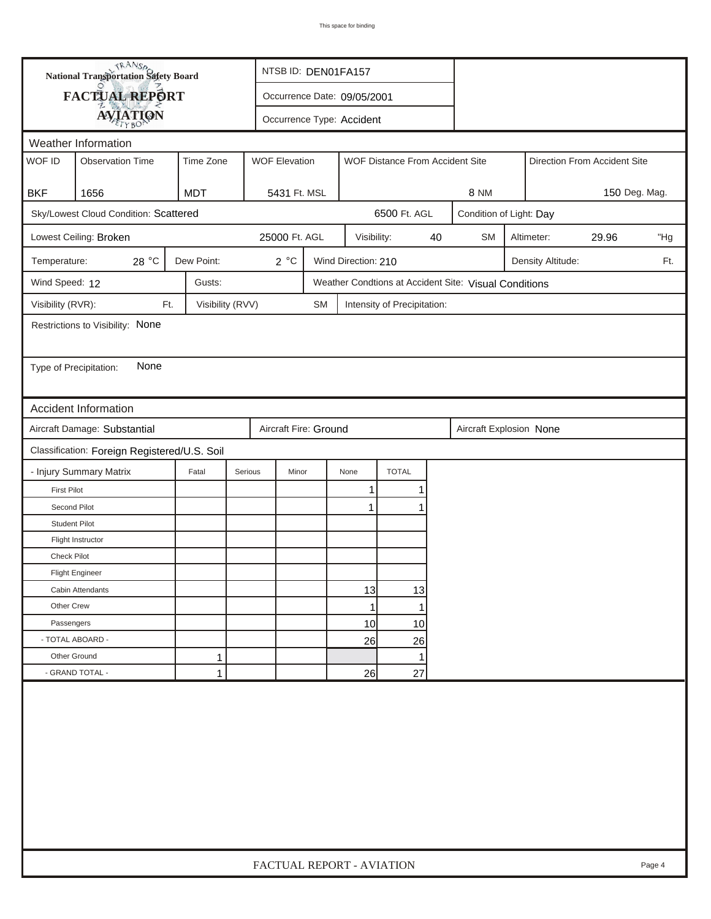|                             | <b>National Transportation Safety Board</b>  |               | NTSB ID: DEN01FA157  |                             |                           |                                 |                         |                                                       |                              |     |     |
|-----------------------------|----------------------------------------------|---------------|----------------------|-----------------------------|---------------------------|---------------------------------|-------------------------|-------------------------------------------------------|------------------------------|-----|-----|
|                             | FACTUAL REPORT                               |               |                      | Occurrence Date: 09/05/2001 |                           |                                 |                         |                                                       |                              |     |     |
|                             | <b>AVIATION</b>                              |               |                      |                             | Occurrence Type: Accident |                                 |                         |                                                       |                              |     |     |
| Weather Information         |                                              |               |                      |                             |                           |                                 |                         |                                                       |                              |     |     |
| WOF ID                      | <b>Observation Time</b>                      | Time Zone     | <b>WOF Elevation</b> |                             |                           | WOF Distance From Accident Site |                         |                                                       | Direction From Accident Site |     |     |
|                             |                                              |               |                      |                             |                           |                                 |                         |                                                       |                              |     |     |
| <b>BKF</b>                  | 1656                                         | 5431 Ft. MSL  |                      |                             |                           |                                 | <b>8 NM</b>             |                                                       | 150 Deg. Mag.                |     |     |
|                             | Sky/Lowest Cloud Condition: Scattered        |               |                      |                             | 6500 Ft. AGL              |                                 | Condition of Light: Day |                                                       |                              |     |     |
| Lowest Ceiling: Broken      |                                              | 25000 Ft. AGL |                      | Visibility:                 |                           | 40                              | <b>SM</b>               | Altimeter:                                            | 29.96                        | "Hg |     |
| Temperature:                | 28 °C                                        | Dew Point:    | 2°C                  |                             | Wind Direction: 210       |                                 |                         |                                                       | Density Altitude:            |     | Ft. |
| Wind Speed: 12              |                                              | Gusts:        |                      |                             |                           |                                 |                         | Weather Condtions at Accident Site: Visual Conditions |                              |     |     |
|                             | Visibility (RVR):<br>Visibility (RVV)<br>Ft. |               |                      |                             |                           | Intensity of Precipitation:     |                         |                                                       |                              |     |     |
|                             | Restrictions to Visibility: None             |               |                      |                             |                           |                                 |                         |                                                       |                              |     |     |
|                             |                                              |               |                      |                             |                           |                                 |                         |                                                       |                              |     |     |
| Type of Precipitation:      | None                                         |               |                      |                             |                           |                                 |                         |                                                       |                              |     |     |
|                             |                                              |               |                      |                             |                           |                                 |                         |                                                       |                              |     |     |
| <b>Accident Information</b> |                                              |               |                      |                             |                           |                                 |                         |                                                       |                              |     |     |
|                             | Aircraft Damage: Substantial                 |               |                      | Aircraft Fire: Ground       |                           |                                 |                         | Aircraft Explosion None                               |                              |     |     |
|                             | Classification: Foreign Registered/U.S. Soil |               |                      |                             |                           |                                 |                         |                                                       |                              |     |     |
| - Injury Summary Matrix     |                                              | Fatal         | Serious<br>Minor     |                             | None                      | <b>TOTAL</b>                    |                         |                                                       |                              |     |     |
| <b>First Pilot</b>          |                                              |               |                      |                             | 1                         | 1                               |                         |                                                       |                              |     |     |
| Second Pilot                |                                              |               |                      |                             | 1                         | 1                               |                         |                                                       |                              |     |     |
| <b>Student Pilot</b>        |                                              |               |                      |                             |                           |                                 |                         |                                                       |                              |     |     |
| Flight Instructor           |                                              |               |                      |                             |                           |                                 |                         |                                                       |                              |     |     |
| <b>Check Pilot</b>          |                                              |               |                      |                             |                           |                                 |                         |                                                       |                              |     |     |
| <b>Flight Engineer</b>      |                                              |               |                      |                             |                           |                                 |                         |                                                       |                              |     |     |
| Cabin Attendants            |                                              |               |                      |                             | 13                        | 13                              |                         |                                                       |                              |     |     |
| Other Crew                  |                                              |               |                      |                             | 1                         | 1                               |                         |                                                       |                              |     |     |
| Passengers                  |                                              |               |                      |                             | 10                        | 10                              |                         |                                                       |                              |     |     |
| - TOTAL ABOARD -            |                                              |               |                      |                             | 26                        | 26                              |                         |                                                       |                              |     |     |
| Other Ground                |                                              | 1             |                      |                             |                           | 1                               |                         |                                                       |                              |     |     |
| - GRAND TOTAL -             |                                              | 1             |                      |                             | 26                        | 27                              |                         |                                                       |                              |     |     |